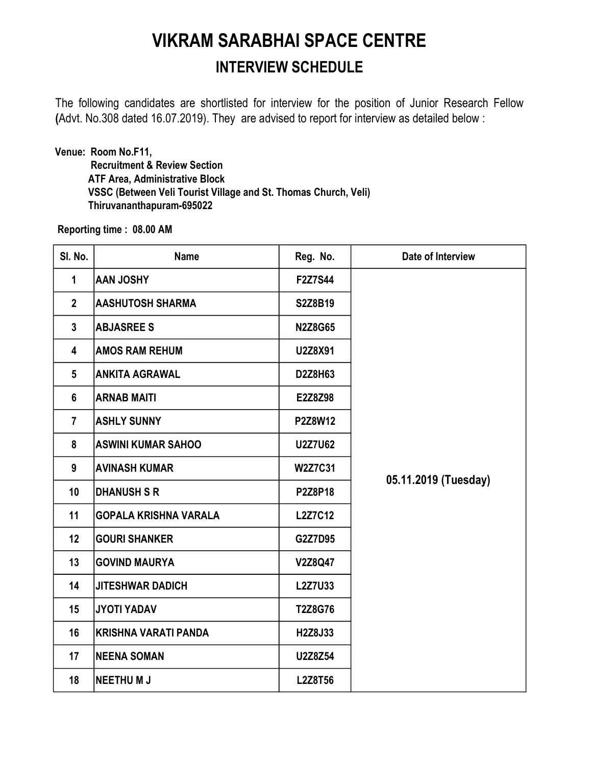## VIKRAM SARABHAI SPACE CENTRE INTERVIEW SCHEDULE

The following candidates are shortlisted for interview for the position of Junior Research Fellow (Advt. No.308 dated 16.07.2019). They are advised to report for interview as detailed below :

Venue: Room No.F11, Recruitment & Review Section ATF Area, Administrative Block VSSC (Between Veli Tourist Village and St. Thomas Church, Veli) Thiruvananthapuram-695022

Reporting time : 08.00 AM

| SI. No.         | <b>Name</b>                  | Reg. No.       | Date of Interview    |
|-----------------|------------------------------|----------------|----------------------|
| $\mathbf{1}$    | <b>AAN JOSHY</b>             | <b>F2Z7S44</b> |                      |
| $\overline{2}$  | <b>AASHUTOSH SHARMA</b>      | S2Z8B19        |                      |
| $\mathbf{3}$    | <b>ABJASREE S</b>            | <b>N2Z8G65</b> |                      |
| 4               | <b>AMOS RAM REHUM</b>        | U2Z8X91        |                      |
| $5\phantom{.0}$ | <b>ANKITA AGRAWAL</b>        | D2Z8H63        |                      |
| 6               | <b>ARNAB MAITI</b>           | E2Z8Z98        |                      |
| $\overline{7}$  | <b>ASHLY SUNNY</b>           | P2Z8W12        |                      |
| 8               | <b>ASWINI KUMAR SAHOO</b>    | <b>U2Z7U62</b> |                      |
| 9               | <b>AVINASH KUMAR</b>         | <b>W2Z7C31</b> |                      |
| 10              | <b>DHANUSH S R</b>           | <b>P2Z8P18</b> | 05.11.2019 (Tuesday) |
| 11              | <b>GOPALA KRISHNA VARALA</b> | <b>L2Z7C12</b> |                      |
| 12              | <b>GOURI SHANKER</b>         | G2Z7D95        |                      |
| 13              | <b>GOVIND MAURYA</b>         | V2Z8Q47        |                      |
| 14              | <b>JITESHWAR DADICH</b>      | <b>L2Z7U33</b> |                      |
| 15              | <b>JYOTI YADAV</b>           | T2Z8G76        |                      |
| 16              | KRISHNA VARATI PANDA         | H2Z8J33        |                      |
| 17              | <b>NEENA SOMAN</b>           | U2Z8Z54        |                      |
| 18              | <b>NEETHUMJ</b>              | <b>L2Z8T56</b> |                      |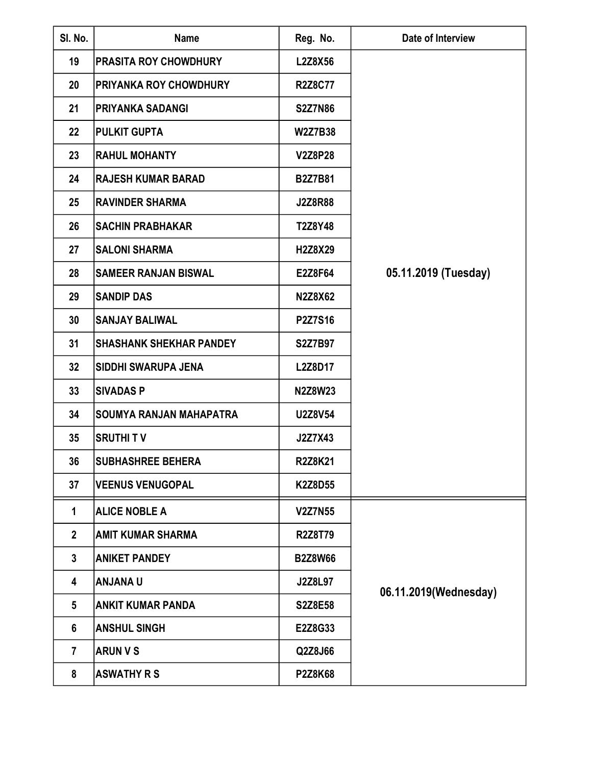| SI. No.         | <b>Name</b>                    | Reg. No.       | Date of Interview     |
|-----------------|--------------------------------|----------------|-----------------------|
| 19              | <b>PRASITA ROY CHOWDHURY</b>   | <b>L2Z8X56</b> |                       |
| 20              | <b>PRIYANKA ROY CHOWDHURY</b>  | <b>R2Z8C77</b> |                       |
| 21              | <b>PRIYANKA SADANGI</b>        | <b>S2Z7N86</b> |                       |
| 22              | <b>PULKIT GUPTA</b>            | <b>W2Z7B38</b> |                       |
| 23              | <b>RAHUL MOHANTY</b>           | <b>V2Z8P28</b> |                       |
| 24              | <b>RAJESH KUMAR BARAD</b>      | <b>B2Z7B81</b> |                       |
| 25              | <b>RAVINDER SHARMA</b>         | <b>J2Z8R88</b> |                       |
| 26              | <b>SACHIN PRABHAKAR</b>        | T2Z8Y48        |                       |
| 27              | <b>SALONI SHARMA</b>           | H2Z8X29        |                       |
| 28              | <b>SAMEER RANJAN BISWAL</b>    | E2Z8F64        | 05.11.2019 (Tuesday)  |
| 29              | <b>SANDIP DAS</b>              | <b>N2Z8X62</b> |                       |
| 30              | <b>SANJAY BALIWAL</b>          | P2Z7S16        |                       |
| 31              | <b>SHASHANK SHEKHAR PANDEY</b> | <b>S2Z7B97</b> |                       |
| 32              | <b>SIDDHI SWARUPA JENA</b>     | L2Z8D17        |                       |
| 33              | <b>SIVADAS P</b>               | <b>N2Z8W23</b> |                       |
| 34              | SOUMYA RANJAN MAHAPATRA        | U2Z8V54        |                       |
| 35              | <b>SRUTHIT V</b>               | J2Z7X43        |                       |
| 36              | <b>SUBHASHREE BEHERA</b>       | <b>R2Z8K21</b> |                       |
| 37              | <b>VEENUS VENUGOPAL</b>        | <b>K2Z8D55</b> |                       |
| $\mathbf{1}$    | <b>ALICE NOBLE A</b>           | <b>V2Z7N55</b> |                       |
| $\overline{2}$  | <b>AMIT KUMAR SHARMA</b>       | <b>R2Z8T79</b> | 06.11.2019(Wednesday) |
| $\mathbf{3}$    | <b>ANIKET PANDEY</b>           | <b>B2Z8W66</b> |                       |
| 4               | <b>U ANJANA</b>                | <b>J2Z8L97</b> |                       |
| $5\phantom{.0}$ | <b>ANKIT KUMAR PANDA</b>       | <b>S2Z8E58</b> |                       |
| 6               | <b>ANSHUL SINGH</b>            | E2Z8G33        |                       |
| $\overline{7}$  | <b>ARUN V S</b>                | Q2Z8J66        |                       |
| 8               | <b>ASWATHY R S</b>             | <b>P2Z8K68</b> |                       |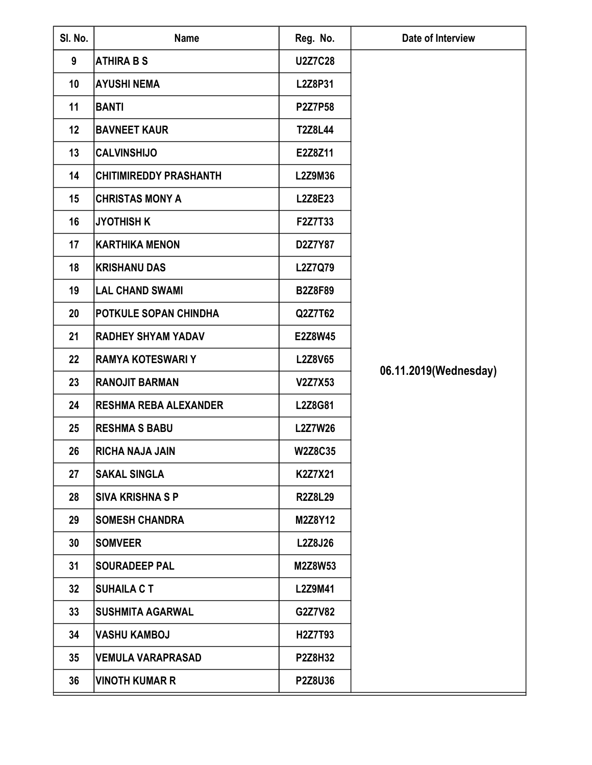| SI. No.          | <b>Name</b>                   | Reg. No.       | Date of Interview     |
|------------------|-------------------------------|----------------|-----------------------|
| 9                | <b>ATHIRA B S</b>             | <b>U2Z7C28</b> |                       |
| 10               | <b>AYUSHI NEMA</b>            | L2Z8P31        |                       |
| 11               | BANTI                         | <b>P2Z7P58</b> |                       |
| 12               | <b>BAVNEET KAUR</b>           | <b>T2Z8L44</b> |                       |
| 13               | <b>CALVINSHIJO</b>            | E2Z8Z11        |                       |
| 14               | <b>CHITIMIREDDY PRASHANTH</b> | <b>L2Z9M36</b> |                       |
| 15               | <b>CHRISTAS MONY A</b>        | <b>L2Z8E23</b> |                       |
| 16               | JYOTHISH K                    | F2Z7T33        |                       |
| 17               | <b>KARTHIKA MENON</b>         | D2Z7Y87        |                       |
| 18               | KRISHANU DAS                  | L2Z7Q79        |                       |
| 19               | <b>LAL CHAND SWAMI</b>        | <b>B2Z8F89</b> |                       |
| 20               | <b>POTKULE SOPAN CHINDHA</b>  | Q2Z7T62        |                       |
| 21               | <b>RADHEY SHYAM YADAV</b>     | E2Z8W45        |                       |
| $22\phantom{.0}$ | <b>RAMYA KOTESWARI Y</b>      | <b>L2Z8V65</b> |                       |
| 23               | <b>RANOJIT BARMAN</b>         | V2Z7X53        | 06.11.2019(Wednesday) |
| 24               | <b>RESHMA REBA ALEXANDER</b>  | <b>L2Z8G81</b> |                       |
| 25               | <b>RESHMA S BABU</b>          | <b>L2Z7W26</b> |                       |
| 26               | <b>RICHA NAJA JAIN</b>        | <b>W2Z8C35</b> |                       |
| 27               | <b>SAKAL SINGLA</b>           | K2Z7X21        |                       |
| 28               | <b>ISIVA KRISHNA S P</b>      | <b>R2Z8L29</b> |                       |
| 29               | <b>SOMESH CHANDRA</b>         | M2Z8Y12        |                       |
| 30               | <b>SOMVEER</b>                | <b>L2Z8J26</b> |                       |
| 31               | <b>SOURADEEP PAL</b>          | M2Z8W53        |                       |
| 32               | <b>SUHAILA CT</b>             | <b>L2Z9M41</b> |                       |
| 33               | <b>ISUSHMITA AGARWAL</b>      | G2Z7V82        |                       |
| 34               | <b>VASHU KAMBOJ</b>           | H2Z7T93        |                       |
| 35               | <b>VEMULA VARAPRASAD</b>      | <b>P2Z8H32</b> |                       |
| 36               | <b>VINOTH KUMAR R</b>         | <b>P2Z8U36</b> |                       |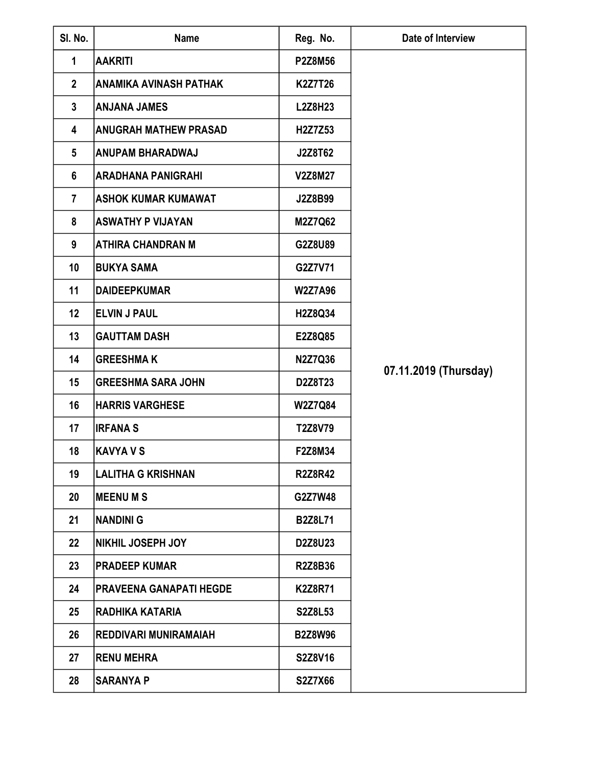| SI. No.         | <b>Name</b>                    | Reg. No.       | Date of Interview     |
|-----------------|--------------------------------|----------------|-----------------------|
| $\mathbf{1}$    | <b>AAKRITI</b>                 | <b>P2Z8M56</b> |                       |
| $\overline{2}$  | <b>ANAMIKA AVINASH PATHAK</b>  | <b>K2Z7T26</b> |                       |
| $\mathbf{3}$    | <b>ANJANA JAMES</b>            | <b>L2Z8H23</b> |                       |
| 4               | <b>ANUGRAH MATHEW PRASAD</b>   | H2Z7Z53        |                       |
| $5\phantom{.0}$ | <b>ANUPAM BHARADWAJ</b>        | J2Z8T62        |                       |
| 6               | <b>ARADHANA PANIGRAHI</b>      | <b>V2Z8M27</b> |                       |
| $\overline{7}$  | ASHOK KUMAR KUMAWAT            | J2Z8B99        |                       |
| 8               | <b>ASWATHY P VIJAYAN</b>       | <b>M2Z7Q62</b> |                       |
| 9               | <b>ATHIRA CHANDRAN M</b>       | G2Z8U89        |                       |
| 10              | <b>BUKYA SAMA</b>              | G2Z7V71        |                       |
| 11              | <b>DAIDEEPKUMAR</b>            | <b>W2Z7A96</b> |                       |
| 12              | <b>ELVIN J PAUL</b>            | H2Z8Q34        |                       |
| 13              | <b>GAUTTAM DASH</b>            | E2Z8Q85        |                       |
| 14              | <b>GREESHMAK</b>               | N2Z7Q36        |                       |
| 15              | <b>GREESHMA SARA JOHN</b>      | D2Z8T23        | 07.11.2019 (Thursday) |
| 16              | <b>HARRIS VARGHESE</b>         | <b>W2Z7Q84</b> |                       |
| 17              | <b>IRFANA S</b>                | T2Z8V79        |                       |
| 18              | <b>KAVYA V S</b>               | F2Z8M34        |                       |
| 19              | LALITHA G KRISHNAN             | <b>R2Z8R42</b> |                       |
| 20              | <b>IMEENU M S</b>              | G2Z7W48        |                       |
| 21              | <b>NANDINI G</b>               | <b>B2Z8L71</b> |                       |
| 22              | <b>NIKHIL JOSEPH JOY</b>       | D2Z8U23        |                       |
| 23              | <b>PRADEEP KUMAR</b>           | <b>R2Z8B36</b> |                       |
| 24              | <b>PRAVEENA GANAPATI HEGDE</b> | <b>K2Z8R71</b> |                       |
| 25              | IRADHIKA KATARIA               | <b>S2Z8L53</b> |                       |
| 26              | <b>REDDIVARI MUNIRAMAIAH</b>   | <b>B2Z8W96</b> |                       |
| 27              | <b>RENU MEHRA</b>              | S2Z8V16        |                       |
| 28              | <b>SARANYA P</b>               | <b>S2Z7X66</b> |                       |